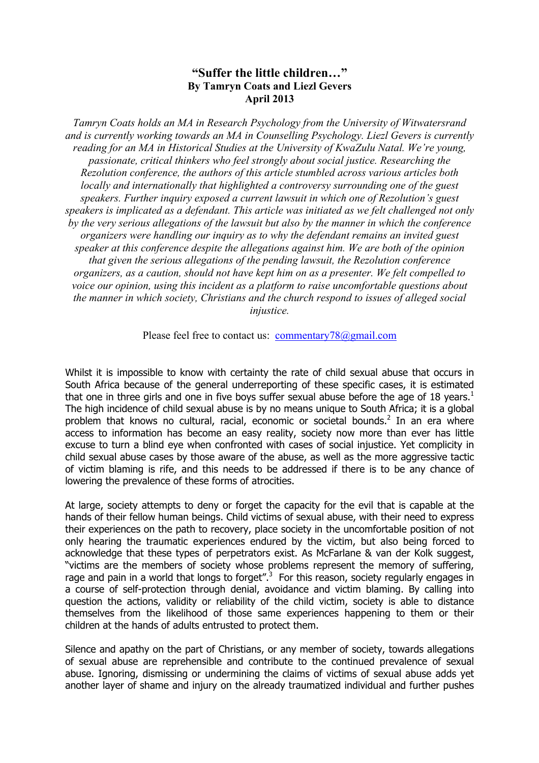## **"Suffer the little children…" By Tamryn Coats and Liezl Gevers April 2013**

*Tamryn Coats holds an MA in Research Psychology from the University of Witwatersrand and is currently working towards an MA in Counselling Psychology. Liezl Gevers is currently reading for an MA in Historical Studies at the University of KwaZulu Natal. We're young, passionate, critical thinkers who feel strongly about social justice. Researching the Rezolution conference, the authors of this article stumbled across various articles both locally and internationally that highlighted a controversy surrounding one of the guest speakers. Further inquiry exposed a current lawsuit in which one of Rezolution's guest speakers is implicated as a defendant. This article was initiated as we felt challenged not only by the very serious allegations of the lawsuit but also by the manner in which the conference organizers were handling our inquiry as to why the defendant remains an invited guest speaker at this conference despite the allegations against him. We are both of the opinion that given the serious allegations of the pending lawsuit, the Rezolution conference organizers, as a caution, should not have kept him on as a presenter. We felt compelled to voice our opinion, using this incident as a platform to raise uncomfortable questions about the manner in which society, Christians and the church respond to issues of alleged social injustice.* 

Please feel free to contact us: commentary78@gmail.com

Whilst it is impossible to know with certainty the rate of child sexual abuse that occurs in South Africa because of the general underreporting of these specific cases, it is estimated that one in three girls and one in five boys suffer sexual abuse before the age of 18 years.<sup>1</sup> The high incidence of child sexual abuse is by no means unique to South Africa; it is a global problem that knows no cultural, racial, economic or societal bounds.<sup>2</sup> In an era where access to information has become an easy reality, society now more than ever has little excuse to turn a blind eye when confronted with cases of social injustice. Yet complicity in child sexual abuse cases by those aware of the abuse, as well as the more aggressive tactic of victim blaming is rife, and this needs to be addressed if there is to be any chance of lowering the prevalence of these forms of atrocities.

At large, society attempts to deny or forget the capacity for the evil that is capable at the hands of their fellow human beings. Child victims of sexual abuse, with their need to express their experiences on the path to recovery, place society in the uncomfortable position of not only hearing the traumatic experiences endured by the victim, but also being forced to acknowledge that these types of perpetrators exist. As McFarlane & van der Kolk suggest, "victims are the members of society whose problems represent the memory of suffering, rage and pain in a world that longs to forget". $3$  For this reason, society regularly engages in a course of self-protection through denial, avoidance and victim blaming. By calling into question the actions, validity or reliability of the child victim, society is able to distance themselves from the likelihood of those same experiences happening to them or their children at the hands of adults entrusted to protect them.

Silence and apathy on the part of Christians, or any member of society, towards allegations of sexual abuse are reprehensible and contribute to the continued prevalence of sexual abuse. Ignoring, dismissing or undermining the claims of victims of sexual abuse adds yet another layer of shame and injury on the already traumatized individual and further pushes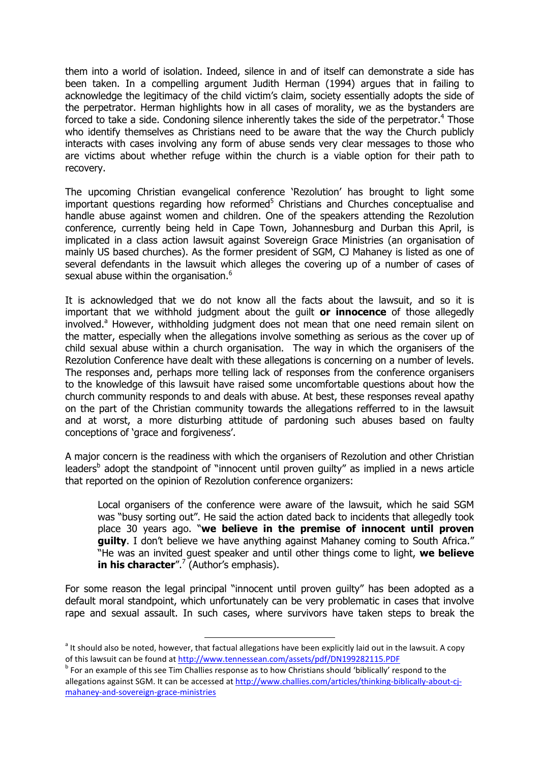them into a world of isolation. Indeed, silence in and of itself can demonstrate a side has been taken. In a compelling argument Judith Herman (1994) argues that in failing to acknowledge the legitimacy of the child victim's claim, society essentially adopts the side of the perpetrator. Herman highlights how in all cases of morality, we as the bystanders are forced to take a side. Condoning silence inherently takes the side of the perpetrator.<sup>4</sup> Those who identify themselves as Christians need to be aware that the way the Church publicly interacts with cases involving any form of abuse sends very clear messages to those who are victims about whether refuge within the church is a viable option for their path to recovery.

The upcoming Christian evangelical conference 'Rezolution' has brought to light some important questions regarding how reformed $5$  Christians and Churches conceptualise and handle abuse against women and children. One of the speakers attending the Rezolution conference, currently being held in Cape Town, Johannesburg and Durban this April, is implicated in a class action lawsuit against Sovereign Grace Ministries (an organisation of mainly US based churches). As the former president of SGM, CJ Mahaney is listed as one of several defendants in the lawsuit which alleges the covering up of a number of cases of sexual abuse within the organisation.<sup>6</sup>

It is acknowledged that we do not know all the facts about the lawsuit, and so it is important that we withhold judgment about the guilt **or innocence** of those allegedly involved.<sup>a</sup> However, withholding judgment does not mean that one need remain silent on the matter, especially when the allegations involve something as serious as the cover up of child sexual abuse within a church organisation. The way in which the organisers of the Rezolution Conference have dealt with these allegations is concerning on a number of levels. The responses and, perhaps more telling lack of responses from the conference organisers to the knowledge of this lawsuit have raised some uncomfortable questions about how the church community responds to and deals with abuse. At best, these responses reveal apathy on the part of the Christian community towards the allegations refferred to in the lawsuit and at worst, a more disturbing attitude of pardoning such abuses based on faulty conceptions of 'grace and forgiveness'.

A major concern is the readiness with which the organisers of Rezolution and other Christian leaders<sup>b</sup> adopt the standpoint of "innocent until proven guilty" as implied in a news article that reported on the opinion of Rezolution conference organizers:

Local organisers of the conference were aware of the lawsuit, which he said SGM was "busy sorting out". He said the action dated back to incidents that allegedly took place 30 years ago. "**we believe in the premise of innocent until proven guilty.** I don't believe we have anything against Mahaney coming to South Africa." "He was an invited guest speaker and until other things come to light, **we believe in his character**".<sup>7</sup> (Author's emphasis).

For some reason the legal principal "innocent until proven guilty" has been adopted as a default moral standpoint, which unfortunately can be very problematic in cases that involve rape and sexual assault. In such cases, where survivors have taken steps to break the

and the should also be noted, however, that factual allegations have been explicitly laid out in the lawsuit. A copy<br>and the should also be noted, however, that factual allegations have been explicitly laid out in the laws of this lawsuit can be found at http://www.tennessean.com/assets/pdf/DN199282115.PDF

 $^{\text{b}}$  For an example of this see Tim Challies response as to how Christians should 'biblically' respond to the allegations against SGM. It can be accessed at http://www.challies.com/articles/thinking-biblically-about-cimahaney-and-sovereign-grace-ministries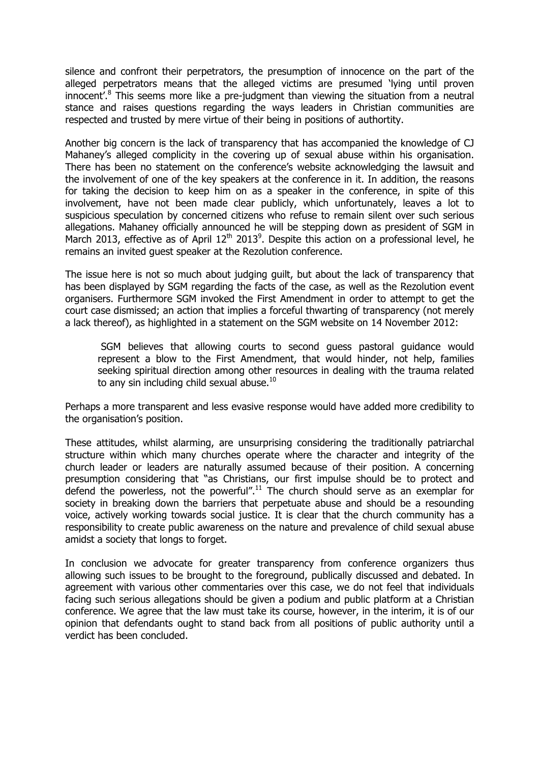silence and confront their perpetrators, the presumption of innocence on the part of the alleged perpetrators means that the alleged victims are presumed 'lying until proven innocent'.<sup>8</sup> This seems more like a pre-judgment than viewing the situation from a neutral stance and raises questions regarding the ways leaders in Christian communities are respected and trusted by mere virtue of their being in positions of authortity.

Another big concern is the lack of transparency that has accompanied the knowledge of CJ Mahaney's alleged complicity in the covering up of sexual abuse within his organisation. There has been no statement on the conference's website acknowledging the lawsuit and the involvement of one of the key speakers at the conference in it. In addition, the reasons for taking the decision to keep him on as a speaker in the conference, in spite of this involvement, have not been made clear publicly, which unfortunately, leaves a lot to suspicious speculation by concerned citizens who refuse to remain silent over such serious allegations. Mahaney officially announced he will be stepping down as president of SGM in March 2013, effective as of April  $12<sup>th</sup>$  2013<sup>9</sup>. Despite this action on a professional level, he remains an invited guest speaker at the Rezolution conference.

The issue here is not so much about judging guilt, but about the lack of transparency that has been displayed by SGM regarding the facts of the case, as well as the Rezolution event organisers. Furthermore SGM invoked the First Amendment in order to attempt to get the court case dismissed; an action that implies a forceful thwarting of transparency (not merely a lack thereof), as highlighted in a statement on the SGM website on 14 November 2012:

 SGM believes that allowing courts to second guess pastoral guidance would represent a blow to the First Amendment, that would hinder, not help, families seeking spiritual direction among other resources in dealing with the trauma related to any sin including child sexual abuse. $10$ 

Perhaps a more transparent and less evasive response would have added more credibility to the organisation's position.

These attitudes, whilst alarming, are unsurprising considering the traditionally patriarchal structure within which many churches operate where the character and integrity of the church leader or leaders are naturally assumed because of their position. A concerning presumption considering that "as Christians, our first impulse should be to protect and defend the powerless, not the powerful".<sup>11</sup> The church should serve as an exemplar for society in breaking down the barriers that perpetuate abuse and should be a resounding voice, actively working towards social justice. It is clear that the church community has a responsibility to create public awareness on the nature and prevalence of child sexual abuse amidst a society that longs to forget.

In conclusion we advocate for greater transparency from conference organizers thus allowing such issues to be brought to the foreground, publically discussed and debated. In agreement with various other commentaries over this case, we do not feel that individuals facing such serious allegations should be given a podium and public platform at a Christian conference. We agree that the law must take its course, however, in the interim, it is of our opinion that defendants ought to stand back from all positions of public authority until a verdict has been concluded.